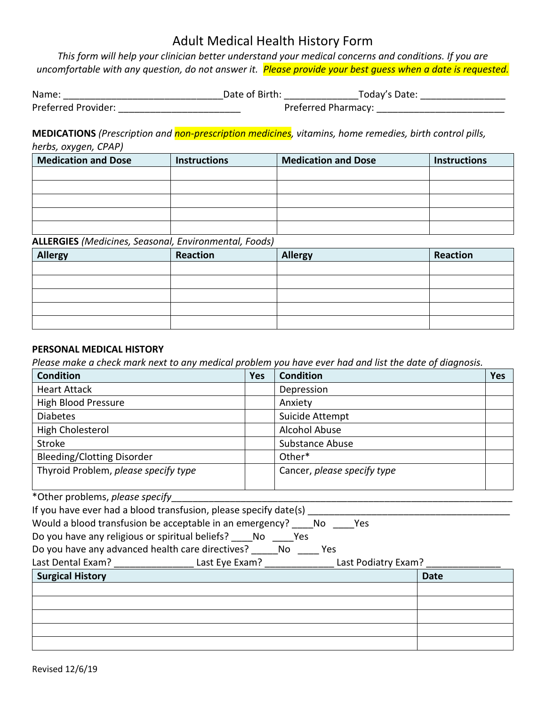*This form will help your clinician better understand your medical concerns and conditions. If you are uncomfortable with any question, do not answer it. Please provide your best guess when a date is requested.*

| Name:               | Date of Birth: |                            | Today's Date: |  |
|---------------------|----------------|----------------------------|---------------|--|
| Preferred Provider: |                | <b>Preferred Pharmacy:</b> |               |  |

**MEDICATIONS** *(Prescription and non-prescription medicines, vitamins, home remedies, birth control pills, herbs, oxygen, CPAP)*

| <b>Medication and Dose</b> | <b>Instructions</b> | <b>Medication and Dose</b> | <b>Instructions</b> |
|----------------------------|---------------------|----------------------------|---------------------|
|                            |                     |                            |                     |
|                            |                     |                            |                     |
|                            |                     |                            |                     |
|                            |                     |                            |                     |
|                            |                     |                            |                     |

### **ALLERGIES** *(Medicines, Seasonal, Environmental, Foods)*

| <b>Allergy</b> | Reaction | <b>Allergy</b> | Reaction |
|----------------|----------|----------------|----------|
|                |          |                |          |
|                |          |                |          |
|                |          |                |          |
|                |          |                |          |
|                |          |                |          |

### **PERSONAL MEDICAL HISTORY**

*Please make a check mark next to any medical problem you have ever had and list the date of diagnosis.*

| <b>Condition</b>                     | <b>Yes</b> | <b>Condition</b>            | Yes |
|--------------------------------------|------------|-----------------------------|-----|
| <b>Heart Attack</b>                  |            | Depression                  |     |
| High Blood Pressure                  |            | Anxiety                     |     |
| <b>Diabetes</b>                      |            | Suicide Attempt             |     |
| High Cholesterol                     |            | <b>Alcohol Abuse</b>        |     |
| Stroke                               |            | Substance Abuse             |     |
| <b>Bleeding/Clotting Disorder</b>    |            | Other*                      |     |
| Thyroid Problem, please specify type |            | Cancer, please specify type |     |

\*Other problems, *please specify*\_\_\_\_\_\_\_\_\_\_\_\_\_\_\_\_\_\_\_\_\_\_\_\_\_\_\_\_\_\_\_\_\_\_\_\_\_\_\_\_\_\_\_\_\_\_\_\_\_\_\_\_\_\_\_\_\_\_\_\_\_\_\_\_

| If you have ever had a blood transfusion, please specify date(s) _ |  |
|--------------------------------------------------------------------|--|
|--------------------------------------------------------------------|--|

| Would a blood transfusion be acceptable in an emergency? | No. | Yes |
|----------------------------------------------------------|-----|-----|
|----------------------------------------------------------|-----|-----|

|  |  | Do you have any religious or spiritual beliefs? | No. | Yes |
|--|--|-------------------------------------------------|-----|-----|
|--|--|-------------------------------------------------|-----|-----|

| Do you have any advanced health care directives? |  | No. | Yes. |
|--------------------------------------------------|--|-----|------|
|                                                  |  |     |      |

| Last Dental Exam? | Last Eye Exam? | Last Podiatry Exam? |  |
|-------------------|----------------|---------------------|--|
|-------------------|----------------|---------------------|--|

| <b>Surgical History</b> |
|-------------------------|
|                         |

| Surgical History | <b>Date</b> |
|------------------|-------------|
|                  |             |
|                  |             |
|                  |             |
|                  |             |
|                  |             |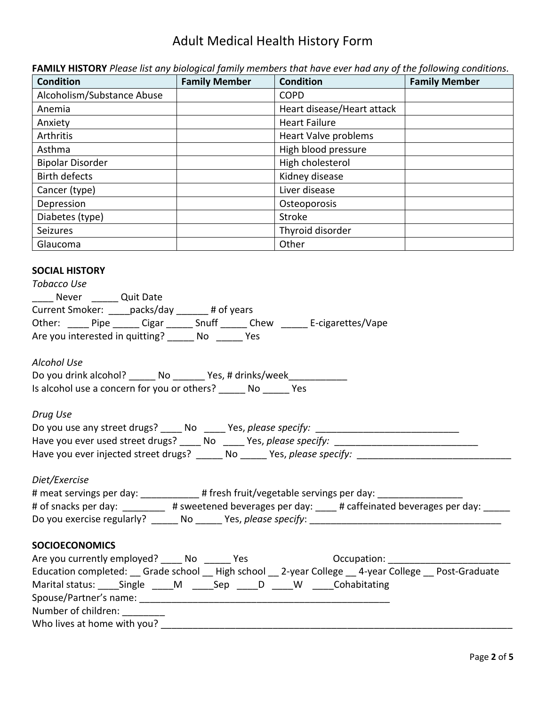| <b>Condition</b>                                                                                                                                                                                                                                                                                                                                                                                                                                                                                                                                                                                                                                                                                                                                                                                                                                                                                                                                                                                                                                                                                                                                                                                                           | <b>Family Member</b> | <b>Condition</b>           | <b>Family Member</b> |
|----------------------------------------------------------------------------------------------------------------------------------------------------------------------------------------------------------------------------------------------------------------------------------------------------------------------------------------------------------------------------------------------------------------------------------------------------------------------------------------------------------------------------------------------------------------------------------------------------------------------------------------------------------------------------------------------------------------------------------------------------------------------------------------------------------------------------------------------------------------------------------------------------------------------------------------------------------------------------------------------------------------------------------------------------------------------------------------------------------------------------------------------------------------------------------------------------------------------------|----------------------|----------------------------|----------------------|
| Alcoholism/Substance Abuse                                                                                                                                                                                                                                                                                                                                                                                                                                                                                                                                                                                                                                                                                                                                                                                                                                                                                                                                                                                                                                                                                                                                                                                                 |                      | <b>COPD</b>                |                      |
| Anemia                                                                                                                                                                                                                                                                                                                                                                                                                                                                                                                                                                                                                                                                                                                                                                                                                                                                                                                                                                                                                                                                                                                                                                                                                     |                      | Heart disease/Heart attack |                      |
| Anxiety                                                                                                                                                                                                                                                                                                                                                                                                                                                                                                                                                                                                                                                                                                                                                                                                                                                                                                                                                                                                                                                                                                                                                                                                                    |                      | <b>Heart Failure</b>       |                      |
| Arthritis                                                                                                                                                                                                                                                                                                                                                                                                                                                                                                                                                                                                                                                                                                                                                                                                                                                                                                                                                                                                                                                                                                                                                                                                                  |                      | Heart Valve problems       |                      |
| Asthma                                                                                                                                                                                                                                                                                                                                                                                                                                                                                                                                                                                                                                                                                                                                                                                                                                                                                                                                                                                                                                                                                                                                                                                                                     |                      | High blood pressure        |                      |
| <b>Bipolar Disorder</b>                                                                                                                                                                                                                                                                                                                                                                                                                                                                                                                                                                                                                                                                                                                                                                                                                                                                                                                                                                                                                                                                                                                                                                                                    |                      | High cholesterol           |                      |
| <b>Birth defects</b>                                                                                                                                                                                                                                                                                                                                                                                                                                                                                                                                                                                                                                                                                                                                                                                                                                                                                                                                                                                                                                                                                                                                                                                                       |                      | Kidney disease             |                      |
| Cancer (type)                                                                                                                                                                                                                                                                                                                                                                                                                                                                                                                                                                                                                                                                                                                                                                                                                                                                                                                                                                                                                                                                                                                                                                                                              |                      | Liver disease              |                      |
| Depression                                                                                                                                                                                                                                                                                                                                                                                                                                                                                                                                                                                                                                                                                                                                                                                                                                                                                                                                                                                                                                                                                                                                                                                                                 |                      | Osteoporosis               |                      |
| Diabetes (type)                                                                                                                                                                                                                                                                                                                                                                                                                                                                                                                                                                                                                                                                                                                                                                                                                                                                                                                                                                                                                                                                                                                                                                                                            |                      | Stroke                     |                      |
| Seizures                                                                                                                                                                                                                                                                                                                                                                                                                                                                                                                                                                                                                                                                                                                                                                                                                                                                                                                                                                                                                                                                                                                                                                                                                   |                      | Thyroid disorder           |                      |
| Glaucoma                                                                                                                                                                                                                                                                                                                                                                                                                                                                                                                                                                                                                                                                                                                                                                                                                                                                                                                                                                                                                                                                                                                                                                                                                   |                      | Other                      |                      |
| <b>SOCIAL HISTORY</b><br><b>Tobacco Use</b><br>____ Never ______ Quit Date<br>Current Smoker: _____ packs/day ______ # of years<br>Other: Pipe Cigar Shuff Chew E-cigarettes/Vape<br>Are you interested in quitting? ______ No ______ Yes<br><b>Alcohol Use</b><br>Do you drink alcohol? ______ No _______ Yes, # drinks/week________<br>Is alcohol use a concern for you or others? No Yes<br>Drug Use<br>Do you use any street drugs? ____ No ____ Yes, please specify: _________________<br>Have you ever used street drugs? _____ No _____ Yes, please specify: _______________________________<br>Have you ever injected street drugs? ______ No _____ Yes, please specify: _______<br>Diet/Exercise<br># meat servings per day: _____________# fresh fruit/vegetable servings per day: ____________<br># of snacks per day: _________ # sweetened beverages per day: ____ # caffeinated beverages per day: _____<br><b>SOCIOECONOMICS</b><br>Are you currently employed? _____ No ______ Yes<br>Occupation: ___________________<br>Education completed: Grade school _ High school _ 2-year College _ 4-year College _ Post-Graduate<br>Marital status: _____Single _____M ______Sep _____D _____W _____Cohabitating |                      |                            |                      |
| Number of children: ________                                                                                                                                                                                                                                                                                                                                                                                                                                                                                                                                                                                                                                                                                                                                                                                                                                                                                                                                                                                                                                                                                                                                                                                               |                      |                            |                      |
|                                                                                                                                                                                                                                                                                                                                                                                                                                                                                                                                                                                                                                                                                                                                                                                                                                                                                                                                                                                                                                                                                                                                                                                                                            |                      |                            |                      |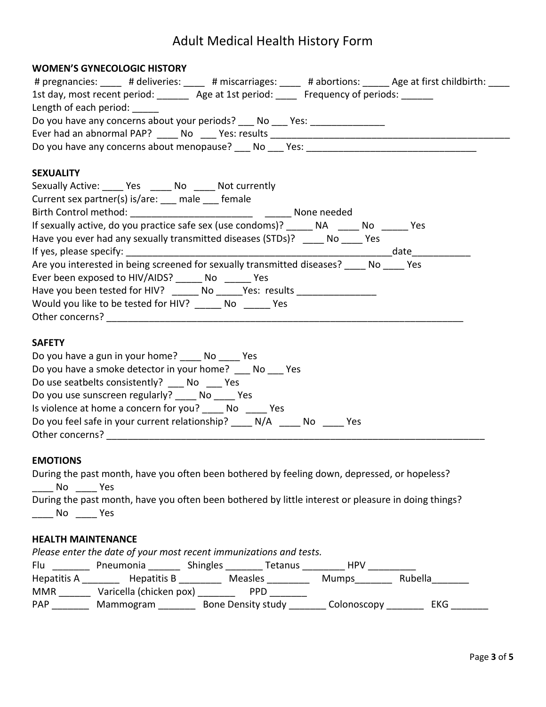#### **WOMEN'S GYNECOLOGIC HISTORY**

| # pregnancies: ____ # deliveries: ____ # miscarriages: ____ # abortions: _____ Age at first childbirth: ____ |
|--------------------------------------------------------------------------------------------------------------|
| 1st day, most recent period: _______ Age at 1st period: ____ Frequency of periods: ______                    |
| Length of each period:                                                                                       |
| Do you have any concerns about your periods? ___ No ___ Yes: ________________                                |
|                                                                                                              |
|                                                                                                              |
| <b>SEXUALITY</b>                                                                                             |
| Sexually Active: _____ Yes _____ No _____ Not currently                                                      |
| Current sex partner(s) is/are: __ male __ female                                                             |
|                                                                                                              |
| If sexually active, do you practice safe sex (use condoms)? ______ NA _____ No _____ Yes                     |
| Have you ever had any sexually transmitted diseases (STDs)? _____ No _____ Yes                               |
|                                                                                                              |
| Are you interested in being screened for sexually transmitted diseases? __ No Yes                            |
| Ever been exposed to HIV/AIDS? ______ No ______ Yes                                                          |
| Have you been tested for HIV? ______ No _____Yes: results _______________                                    |
| Would you like to be tested for HIV? _______ No _______ Yes                                                  |
|                                                                                                              |
| <b>SAFETY</b>                                                                                                |
| Do you have a gun in your home? ______ No _____ Yes                                                          |
| Do you have a smoke detector in your home? ____ No ___ Yes                                                   |
| Do use seatbelts consistently? No Yes                                                                        |
| Do you use sunscreen regularly? No Yes                                                                       |
| Is violence at home a concern for you? No Yes                                                                |
| Do you feel safe in your current relationship? _____ N/A _____ No _____ Yes                                  |

#### **EMOTIONS**

|     | During the past month, have you often been bothered by feeling down, depressed, or hopeless?        |
|-----|-----------------------------------------------------------------------------------------------------|
| No. | - Yes                                                                                               |
|     | During the past month, have you often been bothered by little interest or pleasure in doing things? |
| No. | Yes                                                                                                 |

#### **HEALTH MAINTENANCE**

*Please enter the date of your most recent immunizations and tests.*  Flu \_\_\_\_\_\_\_\_ Pneumonia \_\_\_\_\_\_\_ Shingles \_\_\_\_\_\_\_ Tetanus \_\_\_\_\_\_\_\_ HPV \_\_\_\_\_\_\_\_\_\_ Hepatitis A \_\_\_\_\_\_\_\_ Hepatitis B \_\_\_\_\_\_\_\_ Measles \_\_\_\_\_\_\_\_ Mumps\_\_\_\_\_\_\_ Rubella \_\_\_\_\_\_\_ MMR \_\_\_\_\_\_\_ Varicella (chicken pox) \_\_\_\_\_\_\_\_ PPD \_\_\_\_\_\_\_\_

Other concerns? \_\_\_\_\_\_\_\_\_\_\_\_\_\_\_\_\_\_\_\_\_\_\_\_\_\_\_\_\_\_\_\_\_\_\_\_\_\_\_\_\_\_\_\_\_\_\_\_\_\_\_\_\_\_\_\_\_\_\_\_\_\_\_\_\_\_\_\_\_\_\_

PAP \_\_\_\_\_\_\_\_ Mammogram \_\_\_\_\_\_\_\_ Bone Density study \_\_\_\_\_\_\_\_ Colonoscopy \_\_\_\_\_\_\_\_ EKG \_\_\_\_\_\_\_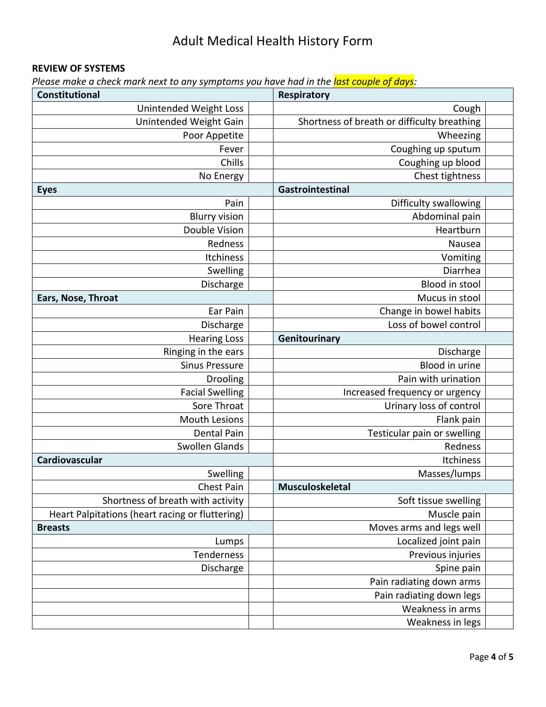### **REVIEW OF SYSTEMS**

*Please make a check mark next to any symptoms you have had in the last couple of days:*

| ncen mann next to any symptoms you have naa in the <mark>last couple of aufo</mark> r<br>Constitutional<br>Respiratory |                                             |  |  |  |
|------------------------------------------------------------------------------------------------------------------------|---------------------------------------------|--|--|--|
| Unintended Weight Loss                                                                                                 | Cough                                       |  |  |  |
| Unintended Weight Gain                                                                                                 | Shortness of breath or difficulty breathing |  |  |  |
| Poor Appetite                                                                                                          | Wheezing                                    |  |  |  |
| Fever                                                                                                                  | Coughing up sputum                          |  |  |  |
| Chills                                                                                                                 | Coughing up blood                           |  |  |  |
| No Energy                                                                                                              | Chest tightness                             |  |  |  |
| <b>Eyes</b>                                                                                                            | Gastrointestinal                            |  |  |  |
| Pain                                                                                                                   | Difficulty swallowing                       |  |  |  |
| <b>Blurry vision</b>                                                                                                   | Abdominal pain                              |  |  |  |
| Double Vision                                                                                                          | Heartburn                                   |  |  |  |
| Redness                                                                                                                | Nausea                                      |  |  |  |
| Itchiness                                                                                                              | Vomiting                                    |  |  |  |
| Swelling                                                                                                               | Diarrhea                                    |  |  |  |
| Discharge                                                                                                              | Blood in stool                              |  |  |  |
| Ears, Nose, Throat                                                                                                     | Mucus in stool                              |  |  |  |
| Ear Pain                                                                                                               | Change in bowel habits                      |  |  |  |
| Discharge                                                                                                              | Loss of bowel control                       |  |  |  |
| <b>Hearing Loss</b>                                                                                                    | Genitourinary                               |  |  |  |
| Ringing in the ears                                                                                                    | Discharge                                   |  |  |  |
| <b>Sinus Pressure</b>                                                                                                  | Blood in urine                              |  |  |  |
| Drooling                                                                                                               | Pain with urination                         |  |  |  |
| <b>Facial Swelling</b>                                                                                                 | Increased frequency or urgency              |  |  |  |
| Sore Throat                                                                                                            | Urinary loss of control                     |  |  |  |
| Mouth Lesions                                                                                                          | Flank pain                                  |  |  |  |
| <b>Dental Pain</b>                                                                                                     | Testicular pain or swelling                 |  |  |  |
| Swollen Glands                                                                                                         | Redness                                     |  |  |  |
| Cardiovascular                                                                                                         | Itchiness                                   |  |  |  |
| Swelling                                                                                                               | Masses/lumps                                |  |  |  |
| Chest Pain                                                                                                             | Musculoskeletal                             |  |  |  |
| Shortness of breath with activity                                                                                      | Soft tissue swelling                        |  |  |  |
| Heart Palpitations (heart racing or fluttering)                                                                        | Muscle pain                                 |  |  |  |
| <b>Breasts</b>                                                                                                         | Moves arms and legs well                    |  |  |  |
| Lumps                                                                                                                  | Localized joint pain                        |  |  |  |
| Tenderness                                                                                                             | Previous injuries                           |  |  |  |
| Discharge                                                                                                              | Spine pain                                  |  |  |  |
|                                                                                                                        | Pain radiating down arms                    |  |  |  |
|                                                                                                                        | Pain radiating down legs                    |  |  |  |
|                                                                                                                        | Weakness in arms                            |  |  |  |
|                                                                                                                        | Weakness in legs                            |  |  |  |